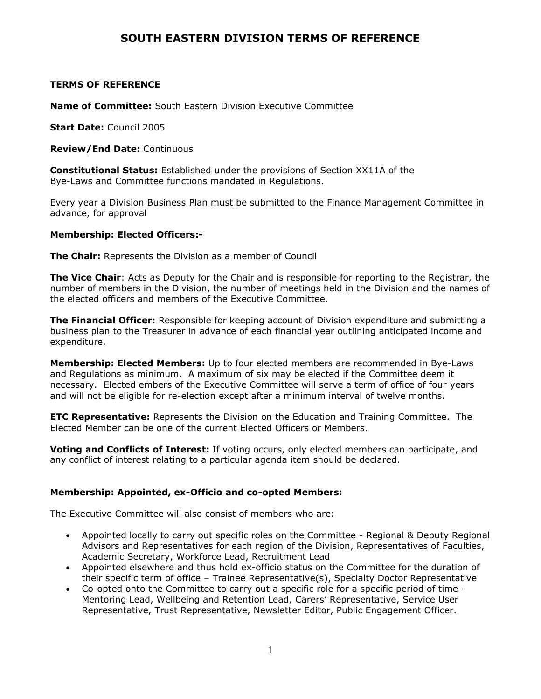## **SOUTH EASTERN DIVISION TERMS OF REFERENCE**

### **TERMS OF REFERENCE**

**Name of Committee:** South Eastern Division Executive Committee

**Start Date:** Council 2005

**Review/End Date:** Continuous

**Constitutional Status:** Established under the provisions of Section XX11A of the Bye-Laws and Committee functions mandated in Regulations.

Every year a Division Business Plan must be submitted to the Finance Management Committee in advance, for approval

### **Membership: Elected Officers:-**

**The Chair:** Represents the Division as a member of Council

**The Vice Chair**: Acts as Deputy for the Chair and is responsible for reporting to the Registrar, the number of members in the Division, the number of meetings held in the Division and the names of the elected officers and members of the Executive Committee.

**The Financial Officer:** Responsible for keeping account of Division expenditure and submitting a business plan to the Treasurer in advance of each financial year outlining anticipated income and expenditure.

**Membership: Elected Members:** Up to four elected members are recommended in Bye-Laws and Regulations as minimum. A maximum of six may be elected if the Committee deem it necessary. Elected embers of the Executive Committee will serve a term of office of four years and will not be eligible for re-election except after a minimum interval of twelve months.

**ETC Representative:** Represents the Division on the Education and Training Committee. The Elected Member can be one of the current Elected Officers or Members.

**Voting and Conflicts of Interest:** If voting occurs, only elected members can participate, and any conflict of interest relating to a particular agenda item should be declared.

### **Membership: Appointed, ex-Officio and co-opted Members:**

The Executive Committee will also consist of members who are:

- Appointed locally to carry out specific roles on the Committee Regional & Deputy Regional Advisors and Representatives for each region of the Division, Representatives of Faculties, Academic Secretary, Workforce Lead, Recruitment Lead
- Appointed elsewhere and thus hold ex-officio status on the Committee for the duration of their specific term of office – Trainee Representative(s), Specialty Doctor Representative
- Co-opted onto the Committee to carry out a specific role for a specific period of time Mentoring Lead, Wellbeing and Retention Lead, Carers' Representative, Service User Representative, Trust Representative, Newsletter Editor, Public Engagement Officer.